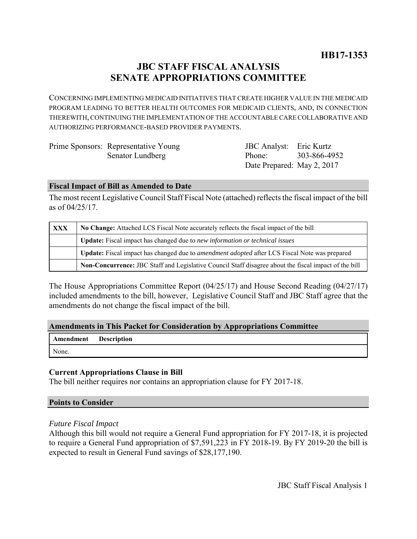# **JBC STAFF FISCAL ANALYSIS SENATE APPROPRIATIONS COMMITTEE**

CONCERNING IMPLEMENTING MEDICAID INITIATIVES THAT CREATE HIGHER VALUE IN THE MEDICAID PROGRAM LEADING TO BETTER HEALTH OUTCOMES FOR MEDICAID CLIENTS, AND, IN CONNECTION THEREWITH, CONTINUING THE IMPLEMENTATION OF THE ACCOUNTABLE CARE COLLABORATIVE AND AUTHORIZING PERFORMANCE-BASED PROVIDER PAYMENTS.

| Prime Sponsors: Representative Young | <b>JBC</b> Analyst: Eric Kurtz |              |
|--------------------------------------|--------------------------------|--------------|
| Senator Lundberg                     | Phone:                         | 303-866-4952 |
|                                      | Date Prepared: May 2, 2017     |              |

#### **Fiscal Impact of Bill as Amended to Date**

The most recent Legislative Council Staff Fiscal Note (attached) reflects the fiscal impact of the bill as of 04/25/17.

| XXX | No Change: Attached LCS Fiscal Note accurately reflects the fiscal impact of the bill                 |  |
|-----|-------------------------------------------------------------------------------------------------------|--|
|     | <b>Update:</b> Fiscal impact has changed due to new information or technical issues                   |  |
|     | Update: Fiscal impact has changed due to <i>amendment adopted</i> after LCS Fiscal Note was prepared  |  |
|     | Non-Concurrence: JBC Staff and Legislative Council Staff disagree about the fiscal impact of the bill |  |

The House Appropriations Committee Report (04/25/17) and House Second Reading (04/27/17) included amendments to the bill, however, Legislative Council Staff and JBC Staff agree that the amendments do not change the fiscal impact of the bill.

### **Amendments in This Packet for Consideration by Appropriations Committee**

| Amendment Description |  |
|-----------------------|--|
| None.                 |  |

### **Current Appropriations Clause in Bill**

The bill neither requires nor contains an appropriation clause for FY 2017-18.

### **Points to Consider**

### *Future Fiscal Impact*

Although this bill would not require a General Fund appropriation for FY 2017-18, it is projected to require a General Fund appropriation of \$7,591,223 in FY 2018-19. By FY 2019-20 the bill is expected to result in General Fund savings of \$28,177,190.